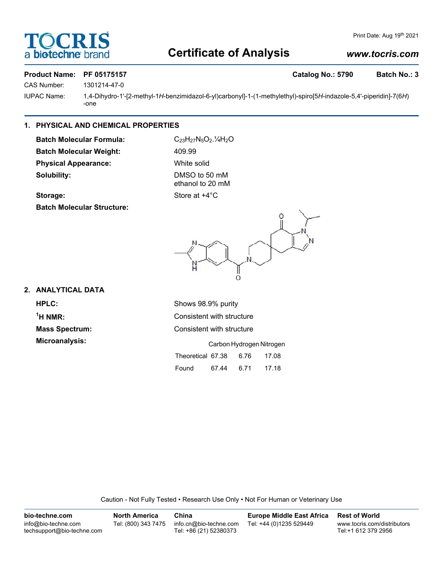# OCRI **biotechne**

## **Certificate of Analysis**

## *www.tocris.com*

## Product Name: PF 05175157 **Catalog No.: 5790** Batch No.: 3

CAS Number: 1301214-47-0

IUPAC Name: 1,4-Dihydro-1'-[2-methyl-1*H*-benzimidazol-6-yl)carbonyl]-1-(1-methylethyl)-spiro[5*H*-indazole-5,4'-piperidin]-7(6*H*) -one

## **1. PHYSICAL AND CHEMICAL PROPERTIES**

**Batch Molecular Formula:** C<sub>23</sub>H<sub>27</sub>N<sub>5</sub>O<sub>2</sub>.<sup>1</sup>/<sub>4</sub>H<sub>2</sub>O Batch Molecular Weight: 409.99 **Physical Appearance:** White solid **Solubility:** DMSO to 50 mM

ethanol to 20 mM

## **Storage:** Store at  $+4^{\circ}$ C

**Batch Molecular Structure:**



## **2. ANALYTICAL DATA**

**HPLC:** Shows 98.9% purity  $<sup>1</sup>H NMR$ </sup> **Microanalysis:** 

**Consistent with structure Mass Spectrum:** Consistent with structure

|                   | Carbon Hydrogen Nitrogen |      |       |  |
|-------------------|--------------------------|------|-------|--|
| Theoretical 67.38 |                          | 6.76 | 17.08 |  |
| Found             | 67.44                    | 6.71 | 17.18 |  |

Caution - Not Fully Tested • Research Use Only • Not For Human or Veterinary Use

| bio-techne.com                                    | <b>North America</b> | China                                            | Europe Middle East Africa | <b>Rest of World</b>                               |
|---------------------------------------------------|----------------------|--------------------------------------------------|---------------------------|----------------------------------------------------|
| info@bio-techne.com<br>techsupport@bio-techne.com | Tel: (800) 343 7475  | info.cn@bio-techne.com<br>Tel: +86 (21) 52380373 | Tel: +44 (0)1235 529449   | www.tocris.com/distributors<br>Tel:+1 612 379 2956 |